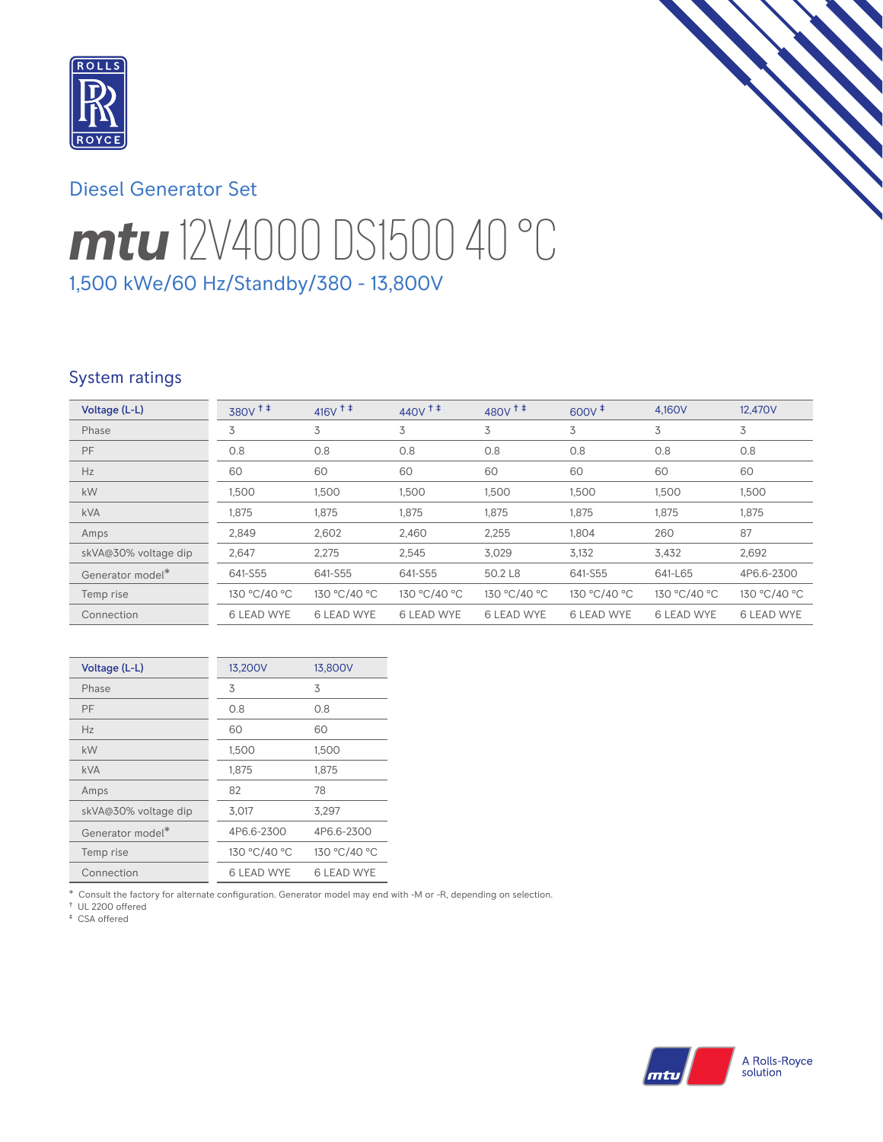

## Diesel Generator Set

# *mtu* 12V4000 DS1500 40 °C 1,500 kWe/60 Hz/Standby/380 - 13,800V

### System ratings

| Voltage (L-L)                | $380V$ <sup>++</sup> | $416V$ <sup>++</sup> | $440V$ <sup>++</sup> | $480V^{\text{+}}$ | $600V^{\ddagger}$ | 4.160V            | 12,470V           |
|------------------------------|----------------------|----------------------|----------------------|-------------------|-------------------|-------------------|-------------------|
| Phase                        | 3                    | 3                    | 3                    | 3                 | 3                 | 3                 | 3                 |
| PF                           | 0.8                  | 0.8                  | 0.8                  | 0.8               | 0.8               | 0.8               | 0.8               |
| Hz                           | 60                   | 60                   | 60                   | 60                | 60                | 60                | 60                |
| kW                           | 1,500                | 1,500                | 1,500                | 1,500             | 1,500             | 1,500             | 1,500             |
| <b>kVA</b>                   | 1,875                | 1,875                | 1,875                | 1,875             | 1,875             | 1,875             | 1,875             |
| Amps                         | 2,849                | 2,602                | 2,460                | 2,255             | 1.804             | 260               | 87                |
| skVA@30% voltage dip         | 2,647                | 2,275                | 2,545                | 3,029             | 3,132             | 3,432             | 2,692             |
| Generator model <sup>*</sup> | 641-S55              | 641-S55              | 641-S55              | 50.2 L8           | 641-S55           | 641-L65           | 4P6.6-2300        |
| Temp rise                    | 130 °C/40 °C         | 130 °C/40 °C         | 130 °C/40 °C         | 130 °C/40 °C      | 130 °C/40 °C      | 130 °C/40 °C      | 130 °C/40 °C      |
| Connection                   | <b>6 LEAD WYE</b>    | <b>6 LEAD WYE</b>    | <b>6 LEAD WYE</b>    | <b>6 LEAD WYE</b> | <b>6 LEAD WYE</b> | <b>6 LEAD WYE</b> | <b>6 LEAD WYE</b> |

| Voltage (L-L)        | 13,200V           | 13,800V      |
|----------------------|-------------------|--------------|
| Phase                | 3                 | 3            |
| PF                   | 0.8               | 0.8          |
| Hz                   | 60                | 60           |
| kW                   | 1,500             | 1,500        |
| <b>kVA</b>           | 1,875             | 1,875        |
| Amps                 | 82                | 78           |
| skVA@30% voltage dip | 3,017             | 3,297        |
| Generator model*     | 4P6.6-2300        | 4P6.6-2300   |
| Temp rise            | 130 °C/40 °C      | 130 °C/40 °C |
| Connection           | <b>6 LEAD WYE</b> | 6 LEAD WYE   |

\* Consult the factory for alternate configuration. Generator model may end with -M or -R, depending on selection.

† UL 2200 offered ‡ CSA offered

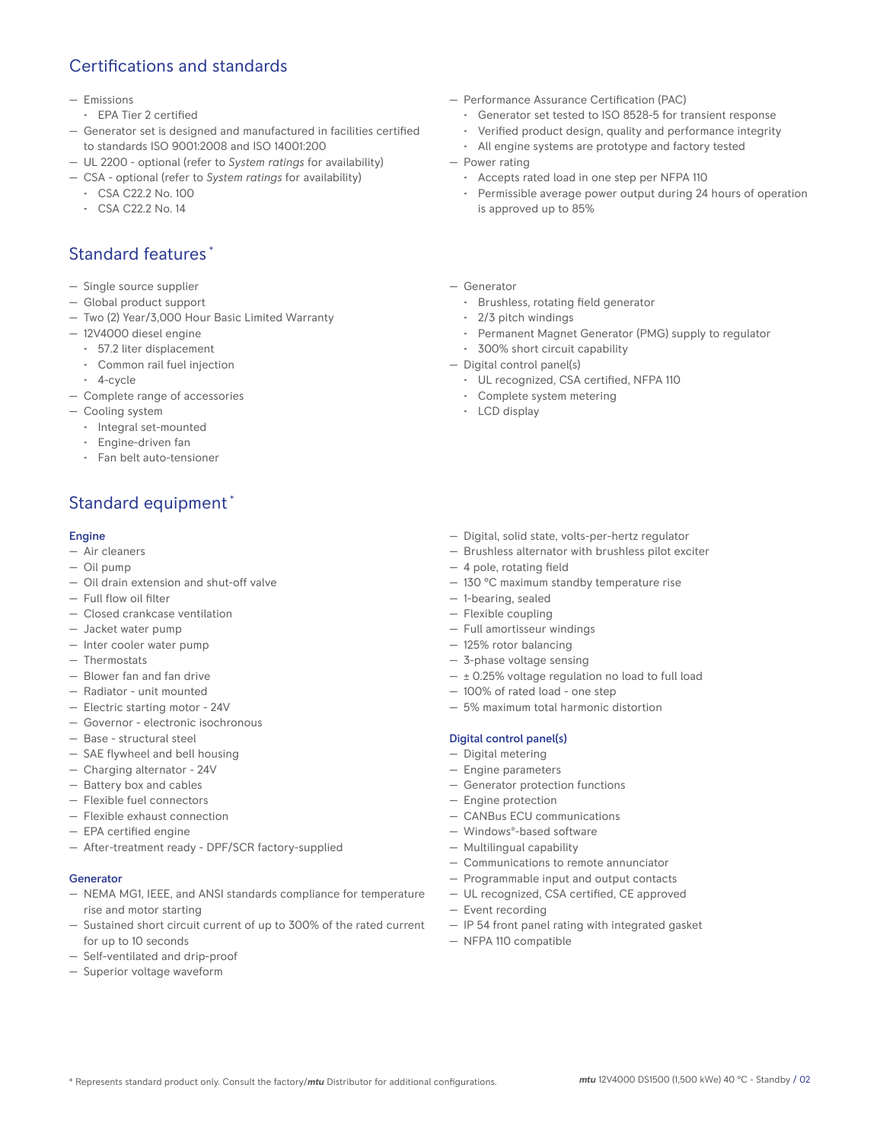### Certifications and standards

#### — Emissions

- EPA Tier 2 certified
- Generator set is designed and manufactured in facilities certified to standards ISO 9001:2008 and ISO 14001:200
- UL 2200 optional (refer to *System ratings* for availability)
- CSA optional (refer to *System ratings* for availability)
	- CSA C22.2 No. 100
	- CSA C22.2 No. 14

### Standard features \*

- Single source supplier
- Global product support
- Two (2) Year/3,000 Hour Basic Limited Warranty
- 12V4000 diesel engine
	- 57.2 liter displacement
	- Common rail fuel injection
- 4-cycle
- Complete range of accessories
- Cooling system
	- Integral set-mounted
	- Engine-driven fan
	- Fan belt auto-tensioner

### Standard equipment \*

#### Engine

- Air cleaners
- Oil pump
- Oil drain extension and shut-off valve
- Full flow oil filter
- Closed crankcase ventilation
- Jacket water pump
- Inter cooler water pump
- Thermostats
- Blower fan and fan drive
- Radiator unit mounted
- Electric starting motor 24V
- Governor electronic isochronous
- Base structural steel
- SAE flywheel and bell housing
- Charging alternator 24V
- Battery box and cables
- Flexible fuel connectors
- Flexible exhaust connection
- EPA certified engine
- After-treatment ready DPF/SCR factory-supplied

#### **Generator**

- NEMA MG1, IEEE, and ANSI standards compliance for temperature rise and motor starting
- Sustained short circuit current of up to 300% of the rated current for up to 10 seconds
- Self-ventilated and drip-proof
- Superior voltage waveform
- Performance Assurance Certification (PAC)
	- Generator set tested to ISO 8528-5 for transient response
	- Verified product design, quality and performance integrity
	- All engine systems are prototype and factory tested
- Power rating
	- Accepts rated load in one step per NFPA 110
	- Permissible average power output during 24 hours of operation is approved up to 85%
- Generator
	- Brushless, rotating field generator
	- 2/3 pitch windings
	- Permanent Magnet Generator (PMG) supply to regulator
- 300% short circuit capability
- Digital control panel(s)
	- UL recognized, CSA certified, NFPA 110
	- Complete system metering
	- LCD display
- Digital, solid state, volts-per-hertz regulator
- Brushless alternator with brushless pilot exciter
- 4 pole, rotating field
- 130 °C maximum standby temperature rise
- 1-bearing, sealed
- Flexible coupling
- Full amortisseur windings
- 125% rotor balancing
- 3-phase voltage sensing
- $\pm$  0.25% voltage regulation no load to full load
- 100% of rated load one step
- 5% maximum total harmonic distortion

#### Digital control panel(s)

- Digital metering
- Engine parameters
- Generator protection functions
- Engine protection
- CANBus ECU communications
- Windows®-based software
- Multilingual capability
- Communications to remote annunciator
- Programmable input and output contacts
- UL recognized, CSA certified, CE approved
- Event recording
- IP 54 front panel rating with integrated gasket
- NFPA 110 compatible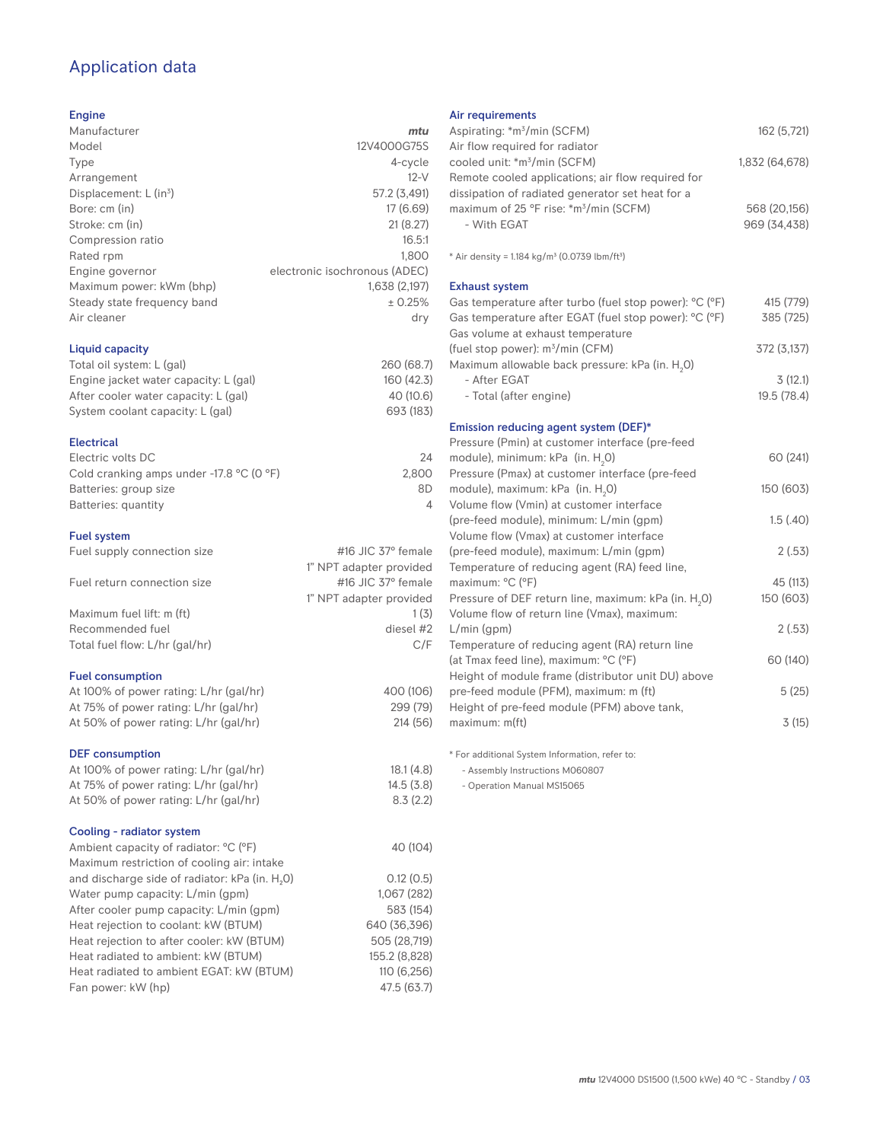### Application data

#### Engine

| Manufacturer                         | mtu                           |
|--------------------------------------|-------------------------------|
| Model                                | 12V4000G75S                   |
| Type                                 | 4-cycle                       |
| Arrangement                          | $12-V$                        |
| Displacement: $L$ (in <sup>3</sup> ) | 57.2 (3,491)                  |
| Bore: cm (in)                        | 17(6.69)                      |
| Stroke: cm (in)                      | 21(8.27)                      |
| Compression ratio                    | 16.5:1                        |
| Rated rpm                            | 1,800                         |
| Engine governor                      | electronic isochronous (ADEC) |
| Maximum power: kWm (bhp)             | 1,638 (2,197)                 |
| Steady state frequency band          | ± 0.25%                       |
| Air cleaner                          | dry                           |
| Liquid capacity                      |                               |

| Total oil system: L (gal)             | 260 (68.7) |
|---------------------------------------|------------|
| Engine jacket water capacity: L (gal) | 160(42.3)  |
| After cooler water capacity: L (gal)  | 40 (10.6)  |
| System coolant capacity: L (gal)      | 693 (183)  |

#### Electrical

| Electric volts DC                                            | 24    |
|--------------------------------------------------------------|-------|
| Cold cranking amps under -17.8 $^{\circ}$ C (O $^{\circ}$ F) | 2.800 |
| Batteries: group size                                        | 8D    |
| Batteries: quantity                                          |       |
|                                                              |       |

#### Fuel system

| $1$ ust ayatem                 |                                 |
|--------------------------------|---------------------------------|
| Fuel supply connection size    | #16 JIC $37^\circ$ female       |
|                                | 1" NPT adapter provided         |
| Fuel return connection size    | $\#$ 16 JIC 37 $\degree$ female |
|                                | 1" NPT adapter provided         |
| Maximum fuel lift: m (ft)      | 1(3)                            |
| Recommended fuel               | diesel #2                       |
| Total fuel flow: L/hr (gal/hr) | C/F                             |
|                                |                                 |

#### Fuel consumption

| <b>DEF</b> consumption                 |  |
|----------------------------------------|--|
| At 50% of power rating: L/hr (gal/hr)  |  |
| At 75% of power rating: L/hr (gal/hr)  |  |
| At 100% of power rating: L/hr (gal/hr) |  |

| At 100% of power rating: L/hr (gal/hr)                     | 18.1(4.8)     |
|------------------------------------------------------------|---------------|
| At 75% of power rating: L/hr (gal/hr)                      | 14.5(3.8)     |
| At 50% of power rating: L/hr (gal/hr)                      | 8.3(2.2)      |
| Cooling - radiator system                                  |               |
| Ambient capacity of radiator: °C (°F)                      | 40 (104)      |
| Maximum restriction of cooling air: intake                 |               |
| and discharge side of radiator: kPa (in. H <sub>2</sub> O) | 0.12(0.5)     |
| Water pump capacity: L/min (qpm)                           | 1.067 (282)   |
| After cooler pump capacity: L/min (qpm)                    | 583 (154)     |
| Heat rejection to coolant: kW (BTUM)                       | 640 (36.396)  |
| Heat rejection to after cooler: kW (BTUM)                  | 505 (28,719)  |
| Heat radiated to ambient: kW (BTUM)                        | 155.2 (8.828) |
| Heat radiated to ambient EGAT: kW (BTUM)                   | 110 (6.256)   |
| Fan power: kW (hp)                                         | 47.5 (63.7)   |

#### Air requirements

| Aspirating: *m <sup>3</sup> /min (SCFM)                                                      | 162 (5,721)    |
|----------------------------------------------------------------------------------------------|----------------|
| Air flow required for radiator<br>cooled unit: *m <sup>3</sup> /min (SCFM)                   | 1,832 (64,678) |
| Remote cooled applications; air flow required for                                            |                |
| dissipation of radiated generator set heat for a                                             |                |
| maximum of 25 °F rise: *m <sup>3</sup> /min (SCFM)                                           | 568 (20,156)   |
| - With EGAT                                                                                  | 969 (34,438)   |
|                                                                                              |                |
| * Air density = 1.184 kg/m <sup>3</sup> (0.0739 lbm/ft <sup>3</sup> )                        |                |
| <b>Exhaust system</b>                                                                        |                |
| Gas temperature after turbo (fuel stop power): °C (°F)                                       | 415 (779)      |
| Gas temperature after EGAT (fuel stop power): °C (°F)<br>Gas volume at exhaust temperature   | 385 (725)      |
| (fuel stop power): m <sup>3</sup> /min (CFM)                                                 | 372 (3,137)    |
| Maximum allowable back pressure: kPa (in. H <sub>2</sub> 0)                                  |                |
| - After EGAT                                                                                 | 3(12.1)        |
| - Total (after engine)                                                                       | 19.5(78.4)     |
| Emission reducing agent system (DEF)*                                                        |                |
| Pressure (Pmin) at customer interface (pre-feed                                              |                |
| module), minimum: kPa (in. H <sub>2</sub> O)                                                 | 60 (241)       |
| Pressure (Pmax) at customer interface (pre-feed                                              |                |
| module), maximum: kPa (in. H <sub>2</sub> O)                                                 | 150 (603)      |
| Volume flow (Vmin) at customer interface                                                     |                |
| (pre-feed module), minimum: L/min (qpm)                                                      | 1.5(.40)       |
| Volume flow (Vmax) at customer interface                                                     |                |
| (pre-feed module), maximum: L/min (gpm)                                                      | 2(.53)         |
| Temperature of reducing agent (RA) feed line,                                                |                |
| maximum: °C (°F)                                                                             | 45 (113)       |
| Pressure of DEF return line, maximum: kPa (in. H <sub>2</sub> 0)                             | 150 (603)      |
| Volume flow of return line (Vmax), maximum:                                                  |                |
| $L/min$ (gpm)                                                                                | 2(.53)         |
| Temperature of reducing agent (RA) return line                                               |                |
| (at Tmax feed line), maximum: °C (°F)                                                        | 60 (140)       |
| Height of module frame (distributor unit DU) above<br>pre-feed module (PFM), maximum: m (ft) | 5(25)          |
| Height of pre-feed module (PFM) above tank,                                                  |                |
| maximum: m(ft)                                                                               | 3(15)          |
|                                                                                              |                |

\* For additional System Information, refer to:

- Assembly Instructions M060807

- Operation Manual MS15065

400 (106) 299 (79) 214 (56)